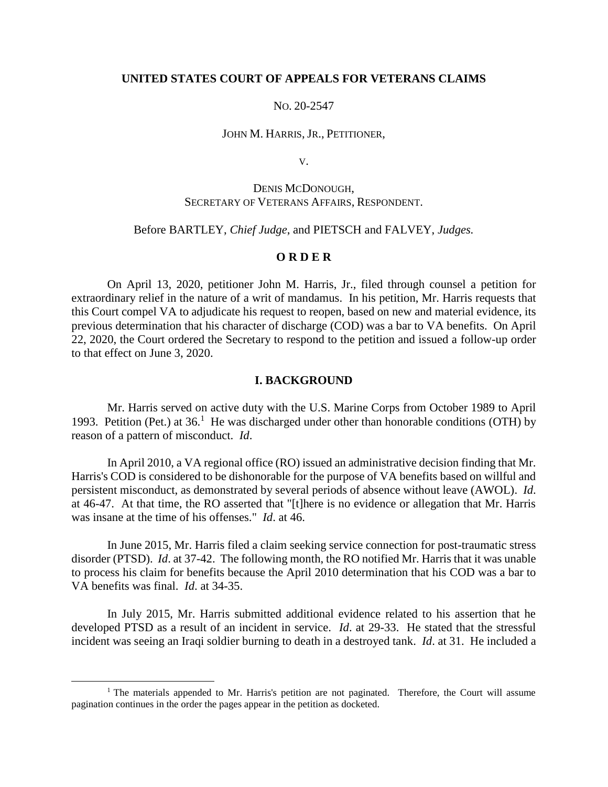## **UNITED STATES COURT OF APPEALS FOR VETERANS CLAIMS**

## NO. 20-2547

### JOHN M. HARRIS, JR., PETITIONER,

V.

# DENIS MCDONOUGH, SECRETARY OF VETERANS AFFAIRS, RESPONDENT.

## Before BARTLEY, *Chief Judge*, and PIETSCH and FALVEY, *Judges.*

## **O R D E R**

On April 13, 2020, petitioner John M. Harris, Jr., filed through counsel a petition for extraordinary relief in the nature of a writ of mandamus. In his petition, Mr. Harris requests that this Court compel VA to adjudicate his request to reopen, based on new and material evidence, its previous determination that his character of discharge (COD) was a bar to VA benefits. On April 22, 2020, the Court ordered the Secretary to respond to the petition and issued a follow-up order to that effect on June 3, 2020.

### **I. BACKGROUND**

Mr. Harris served on active duty with the U.S. Marine Corps from October 1989 to April 1993. Petition (Pet.) at  $36<sup>1</sup>$  He was discharged under other than honorable conditions (OTH) by reason of a pattern of misconduct. *Id*.

In April 2010, a VA regional office (RO) issued an administrative decision finding that Mr. Harris's COD is considered to be dishonorable for the purpose of VA benefits based on willful and persistent misconduct, as demonstrated by several periods of absence without leave (AWOL). *Id*. at 46-47. At that time, the RO asserted that "[t]here is no evidence or allegation that Mr. Harris was insane at the time of his offenses." *Id*. at 46.

In June 2015, Mr. Harris filed a claim seeking service connection for post-traumatic stress disorder (PTSD). *Id*. at 37-42. The following month, the RO notified Mr. Harris that it was unable to process his claim for benefits because the April 2010 determination that his COD was a bar to VA benefits was final. *Id*. at 34-35.

In July 2015, Mr. Harris submitted additional evidence related to his assertion that he developed PTSD as a result of an incident in service. *Id*. at 29-33. He stated that the stressful incident was seeing an Iraqi soldier burning to death in a destroyed tank. *Id*. at 31. He included a

 $\overline{a}$ 

<sup>&</sup>lt;sup>1</sup> The materials appended to Mr. Harris's petition are not paginated. Therefore, the Court will assume pagination continues in the order the pages appear in the petition as docketed.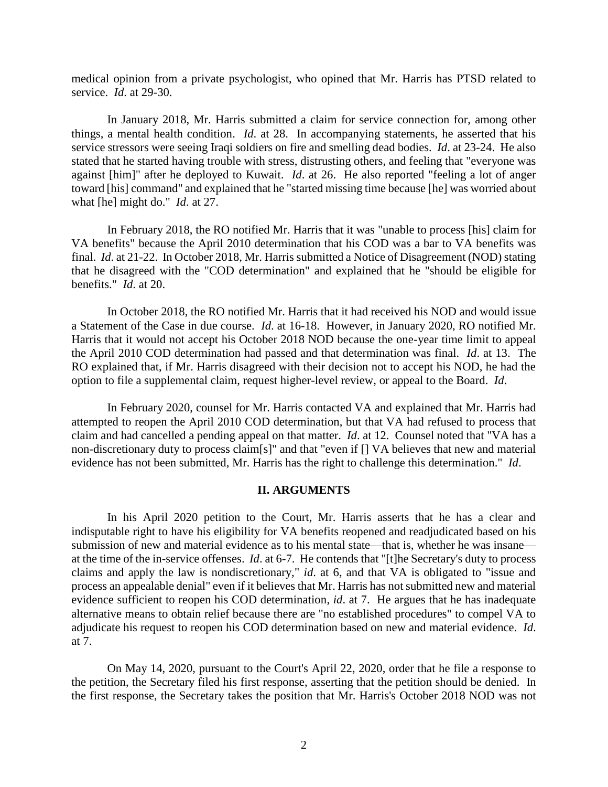medical opinion from a private psychologist, who opined that Mr. Harris has PTSD related to service. *Id*. at 29-30.

In January 2018, Mr. Harris submitted a claim for service connection for, among other things, a mental health condition. *Id*. at 28. In accompanying statements, he asserted that his service stressors were seeing Iraqi soldiers on fire and smelling dead bodies. *Id*. at 23-24. He also stated that he started having trouble with stress, distrusting others, and feeling that "everyone was against [him]" after he deployed to Kuwait. *Id*. at 26. He also reported "feeling a lot of anger toward [his] command" and explained that he "started missing time because [he] was worried about what [he] might do." *Id*. at 27.

In February 2018, the RO notified Mr. Harris that it was "unable to process [his] claim for VA benefits" because the April 2010 determination that his COD was a bar to VA benefits was final. *Id*. at 21-22. In October 2018, Mr. Harris submitted a Notice of Disagreement (NOD) stating that he disagreed with the "COD determination" and explained that he "should be eligible for benefits." *Id*. at 20.

In October 2018, the RO notified Mr. Harris that it had received his NOD and would issue a Statement of the Case in due course. *Id*. at 16-18. However, in January 2020, RO notified Mr. Harris that it would not accept his October 2018 NOD because the one-year time limit to appeal the April 2010 COD determination had passed and that determination was final. *Id*. at 13. The RO explained that, if Mr. Harris disagreed with their decision not to accept his NOD, he had the option to file a supplemental claim, request higher-level review, or appeal to the Board. *Id*.

In February 2020, counsel for Mr. Harris contacted VA and explained that Mr. Harris had attempted to reopen the April 2010 COD determination, but that VA had refused to process that claim and had cancelled a pending appeal on that matter. *Id*. at 12. Counsel noted that "VA has a non-discretionary duty to process claim[s]" and that "even if [] VA believes that new and material evidence has not been submitted, Mr. Harris has the right to challenge this determination." *Id*.

### **II. ARGUMENTS**

In his April 2020 petition to the Court, Mr. Harris asserts that he has a clear and indisputable right to have his eligibility for VA benefits reopened and readjudicated based on his submission of new and material evidence as to his mental state—that is, whether he was insane at the time of the in-service offenses. *Id*. at 6-7. He contends that "[t]he Secretary's duty to process claims and apply the law is nondiscretionary," *id*. at 6, and that VA is obligated to "issue and process an appealable denial" even if it believes that Mr. Harris has not submitted new and material evidence sufficient to reopen his COD determination, *id*. at 7. He argues that he has inadequate alternative means to obtain relief because there are "no established procedures" to compel VA to adjudicate his request to reopen his COD determination based on new and material evidence. *Id*. at 7.

On May 14, 2020, pursuant to the Court's April 22, 2020, order that he file a response to the petition, the Secretary filed his first response, asserting that the petition should be denied. In the first response, the Secretary takes the position that Mr. Harris's October 2018 NOD was not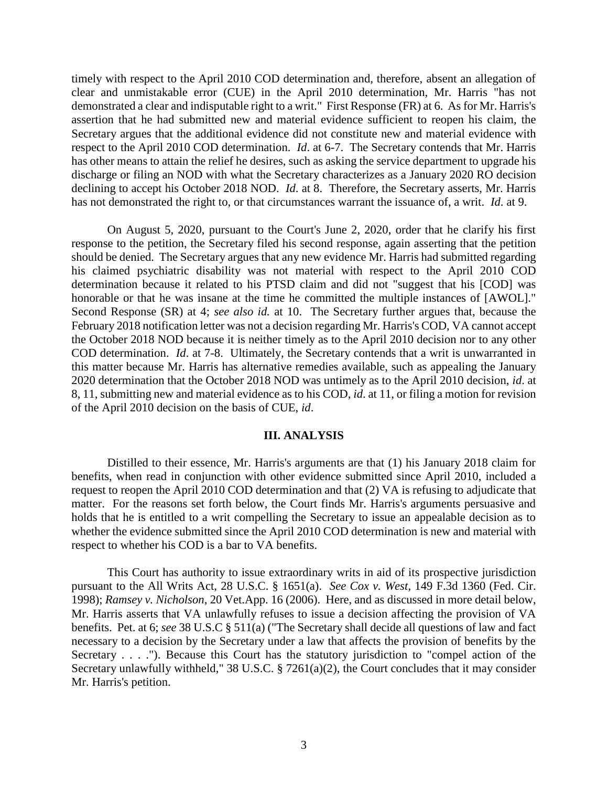timely with respect to the April 2010 COD determination and, therefore, absent an allegation of clear and unmistakable error (CUE) in the April 2010 determination, Mr. Harris "has not demonstrated a clear and indisputable right to a writ." First Response (FR) at 6. As for Mr. Harris's assertion that he had submitted new and material evidence sufficient to reopen his claim, the Secretary argues that the additional evidence did not constitute new and material evidence with respect to the April 2010 COD determination. *Id*. at 6-7. The Secretary contends that Mr. Harris has other means to attain the relief he desires, such as asking the service department to upgrade his discharge or filing an NOD with what the Secretary characterizes as a January 2020 RO decision declining to accept his October 2018 NOD. *Id*. at 8. Therefore, the Secretary asserts, Mr. Harris has not demonstrated the right to, or that circumstances warrant the issuance of, a writ. *Id*. at 9.

On August 5, 2020, pursuant to the Court's June 2, 2020, order that he clarify his first response to the petition, the Secretary filed his second response, again asserting that the petition should be denied. The Secretary argues that any new evidence Mr. Harris had submitted regarding his claimed psychiatric disability was not material with respect to the April 2010 COD determination because it related to his PTSD claim and did not "suggest that his [COD] was honorable or that he was insane at the time he committed the multiple instances of [AWOL]." Second Response (SR) at 4; *see also id.* at 10. The Secretary further argues that, because the February 2018 notification letter was not a decision regarding Mr. Harris's COD, VA cannot accept the October 2018 NOD because it is neither timely as to the April 2010 decision nor to any other COD determination. *Id*. at 7-8. Ultimately, the Secretary contends that a writ is unwarranted in this matter because Mr. Harris has alternative remedies available, such as appealing the January 2020 determination that the October 2018 NOD was untimely as to the April 2010 decision, *id*. at 8, 11, submitting new and material evidence as to his COD, *id*. at 11, or filing a motion for revision of the April 2010 decision on the basis of CUE, *id*.

## **III. ANALYSIS**

Distilled to their essence, Mr. Harris's arguments are that (1) his January 2018 claim for benefits, when read in conjunction with other evidence submitted since April 2010, included a request to reopen the April 2010 COD determination and that (2) VA is refusing to adjudicate that matter. For the reasons set forth below, the Court finds Mr. Harris's arguments persuasive and holds that he is entitled to a writ compelling the Secretary to issue an appealable decision as to whether the evidence submitted since the April 2010 COD determination is new and material with respect to whether his COD is a bar to VA benefits.

This Court has authority to issue extraordinary writs in aid of its prospective jurisdiction pursuant to the All Writs Act, 28 U.S.C. § 1651(a). *See Cox v. West*, 149 F.3d 1360 (Fed. Cir. 1998); *Ramsey v. Nicholson*, 20 Vet.App. 16 (2006). Here, and as discussed in more detail below, Mr. Harris asserts that VA unlawfully refuses to issue a decision affecting the provision of VA benefits. Pet. at 6; *see* 38 U.S.C § 511(a) ("The Secretary shall decide all questions of law and fact necessary to a decision by the Secretary under a law that affects the provision of benefits by the Secretary . . . ."). Because this Court has the statutory jurisdiction to "compel action of the Secretary unlawfully withheld," 38 U.S.C. § 7261(a)(2), the Court concludes that it may consider Mr. Harris's petition.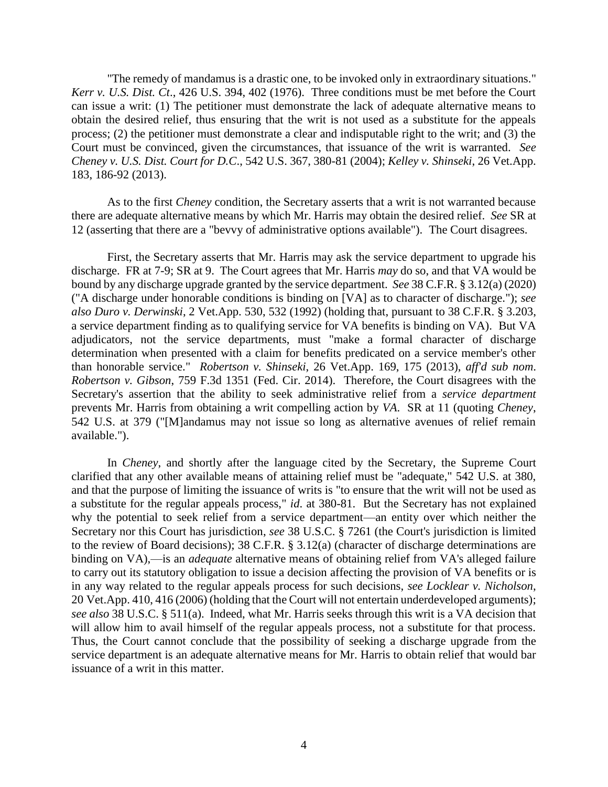"The remedy of mandamus is a drastic one, to be invoked only in extraordinary situations." *Kerr v. U.S. Dist. Ct*., 426 U.S. 394, 402 (1976). Three conditions must be met before the Court can issue a writ: (1) The petitioner must demonstrate the lack of adequate alternative means to obtain the desired relief, thus ensuring that the writ is not used as a substitute for the appeals process; (2) the petitioner must demonstrate a clear and indisputable right to the writ; and (3) the Court must be convinced, given the circumstances, that issuance of the writ is warranted. *See Cheney v. U.S. Dist. Court for D.C*., 542 U.S. 367, 380-81 (2004); *Kelley v. Shinseki*, 26 Vet.App. 183, 186-92 (2013).

As to the first *Cheney* condition, the Secretary asserts that a writ is not warranted because there are adequate alternative means by which Mr. Harris may obtain the desired relief. *See* SR at 12 (asserting that there are a "bevvy of administrative options available"). The Court disagrees.

First, the Secretary asserts that Mr. Harris may ask the service department to upgrade his discharge. FR at 7-9; SR at 9. The Court agrees that Mr. Harris *may* do so, and that VA would be bound by any discharge upgrade granted by the service department. *See* 38 C.F.R. § 3.12(a) (2020) ("A discharge under honorable conditions is binding on [VA] as to character of discharge."); *see also Duro v. Derwinski*, 2 Vet.App. 530, 532 (1992) (holding that, pursuant to 38 C.F.R. § 3.203, a service department finding as to qualifying service for VA benefits is binding on VA). But VA adjudicators, not the service departments, must "make a formal character of discharge determination when presented with a claim for benefits predicated on a service member's other than honorable service." *Robertson v. Shinseki*, 26 Vet.App. 169, 175 (2013), *aff'd sub nom*. *Robertson v. Gibson*, 759 F.3d 1351 (Fed. Cir. 2014). Therefore, the Court disagrees with the Secretary's assertion that the ability to seek administrative relief from a *service department* prevents Mr. Harris from obtaining a writ compelling action by *VA*. SR at 11 (quoting *Cheney*, 542 U.S. at 379 ("[M]andamus may not issue so long as alternative avenues of relief remain available.").

In *Cheney*, and shortly after the language cited by the Secretary, the Supreme Court clarified that any other available means of attaining relief must be "adequate," 542 U.S. at 380, and that the purpose of limiting the issuance of writs is "to ensure that the writ will not be used as a substitute for the regular appeals process," *id*. at 380-81. But the Secretary has not explained why the potential to seek relief from a service department—an entity over which neither the Secretary nor this Court has jurisdiction, *see* 38 U.S.C. § 7261 (the Court's jurisdiction is limited to the review of Board decisions); 38 C.F.R. § 3.12(a) (character of discharge determinations are binding on VA),—is an *adequate* alternative means of obtaining relief from VA's alleged failure to carry out its statutory obligation to issue a decision affecting the provision of VA benefits or is in any way related to the regular appeals process for such decisions, *see Locklear v. Nicholson*, 20 Vet.App. 410, 416 (2006) (holding that the Court will not entertain underdeveloped arguments); *see also* 38 U.S.C. § 511(a). Indeed, what Mr. Harris seeks through this writ is a VA decision that will allow him to avail himself of the regular appeals process, not a substitute for that process. Thus, the Court cannot conclude that the possibility of seeking a discharge upgrade from the service department is an adequate alternative means for Mr. Harris to obtain relief that would bar issuance of a writ in this matter.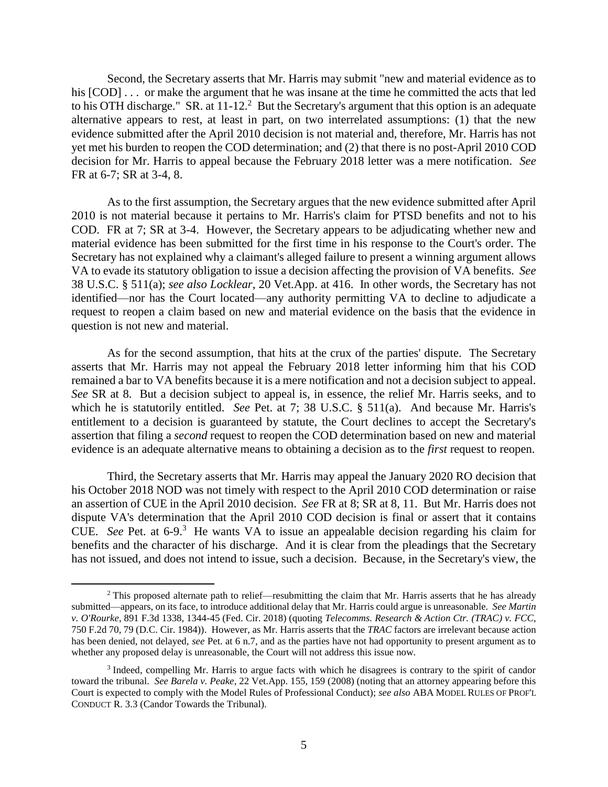Second, the Secretary asserts that Mr. Harris may submit "new and material evidence as to his  $[COD] \ldots$  or make the argument that he was insane at the time he committed the acts that led to his OTH discharge." SR. at  $11-12$ .<sup>2</sup> But the Secretary's argument that this option is an adequate alternative appears to rest, at least in part, on two interrelated assumptions: (1) that the new evidence submitted after the April 2010 decision is not material and, therefore, Mr. Harris has not yet met his burden to reopen the COD determination; and (2) that there is no post-April 2010 COD decision for Mr. Harris to appeal because the February 2018 letter was a mere notification. *See* FR at 6-7; SR at 3-4, 8.

As to the first assumption, the Secretary argues that the new evidence submitted after April 2010 is not material because it pertains to Mr. Harris's claim for PTSD benefits and not to his COD. FR at 7; SR at 3-4. However, the Secretary appears to be adjudicating whether new and material evidence has been submitted for the first time in his response to the Court's order. The Secretary has not explained why a claimant's alleged failure to present a winning argument allows VA to evade its statutory obligation to issue a decision affecting the provision of VA benefits. *See* 38 U.S.C. § 511(a); *see also Locklear*, 20 Vet.App. at 416. In other words, the Secretary has not identified—nor has the Court located—any authority permitting VA to decline to adjudicate a request to reopen a claim based on new and material evidence on the basis that the evidence in question is not new and material.

As for the second assumption, that hits at the crux of the parties' dispute. The Secretary asserts that Mr. Harris may not appeal the February 2018 letter informing him that his COD remained a bar to VA benefits because it is a mere notification and not a decision subject to appeal. *See* SR at 8. But a decision subject to appeal is, in essence, the relief Mr. Harris seeks, and to which he is statutorily entitled. *See* Pet. at 7; 38 U.S.C. § 511(a). And because Mr. Harris's entitlement to a decision is guaranteed by statute, the Court declines to accept the Secretary's assertion that filing a *second* request to reopen the COD determination based on new and material evidence is an adequate alternative means to obtaining a decision as to the *first* request to reopen.

Third, the Secretary asserts that Mr. Harris may appeal the January 2020 RO decision that his October 2018 NOD was not timely with respect to the April 2010 COD determination or raise an assertion of CUE in the April 2010 decision. *See* FR at 8; SR at 8, 11. But Mr. Harris does not dispute VA's determination that the April 2010 COD decision is final or assert that it contains CUE. See Pet. at  $6\n-9$ <sup>3</sup>. He wants VA to issue an appealable decision regarding his claim for benefits and the character of his discharge. And it is clear from the pleadings that the Secretary has not issued, and does not intend to issue, such a decision. Because, in the Secretary's view, the

 $\overline{a}$ 

<sup>&</sup>lt;sup>2</sup> This proposed alternate path to relief—resubmitting the claim that Mr. Harris asserts that he has already submitted—appears, on its face, to introduce additional delay that Mr. Harris could argue is unreasonable. *See Martin v. O'Rourke*, 891 F.3d 1338, 1344-45 (Fed. Cir. 2018) (quoting *Telecomms. Research & Action Ctr. (TRAC) v. FCC*, 750 F.2d 70, 79 (D.C. Cir. 1984)). However, as Mr. Harris asserts that the *TRAC* factors are irrelevant because action has been denied, not delayed, *see* Pet. at 6 n.7, and as the parties have not had opportunity to present argument as to whether any proposed delay is unreasonable, the Court will not address this issue now.

<sup>&</sup>lt;sup>3</sup> Indeed, compelling Mr. Harris to argue facts with which he disagrees is contrary to the spirit of candor toward the tribunal. *See Barela v. Peake*, 22 Vet.App. 155, 159 (2008) (noting that an attorney appearing before this Court is expected to comply with the Model Rules of Professional Conduct); *see also* ABA MODEL RULES OF PROF'L CONDUCT R. 3.3 (Candor Towards the Tribunal).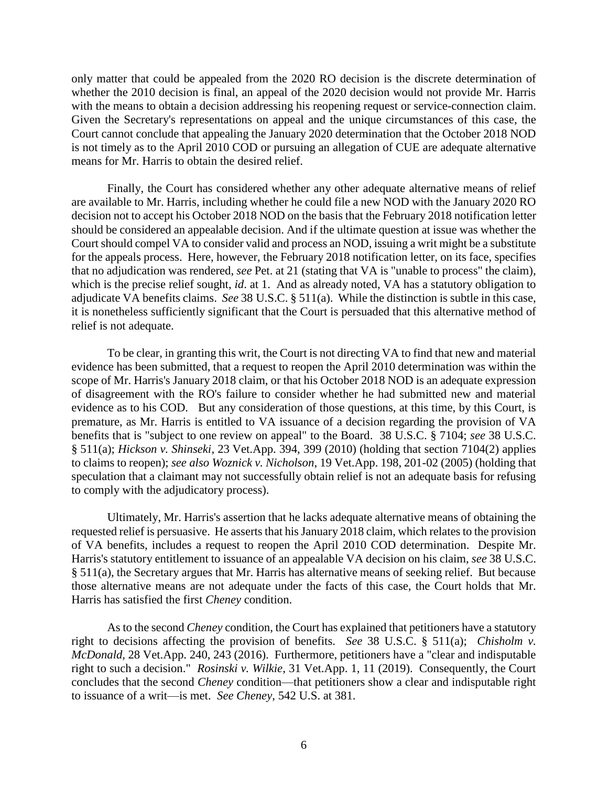only matter that could be appealed from the 2020 RO decision is the discrete determination of whether the 2010 decision is final, an appeal of the 2020 decision would not provide Mr. Harris with the means to obtain a decision addressing his reopening request or service-connection claim. Given the Secretary's representations on appeal and the unique circumstances of this case, the Court cannot conclude that appealing the January 2020 determination that the October 2018 NOD is not timely as to the April 2010 COD or pursuing an allegation of CUE are adequate alternative means for Mr. Harris to obtain the desired relief.

Finally, the Court has considered whether any other adequate alternative means of relief are available to Mr. Harris, including whether he could file a new NOD with the January 2020 RO decision not to accept his October 2018 NOD on the basis that the February 2018 notification letter should be considered an appealable decision. And if the ultimate question at issue was whether the Court should compel VA to consider valid and process an NOD, issuing a writ might be a substitute for the appeals process. Here, however, the February 2018 notification letter, on its face, specifies that no adjudication was rendered, *see* Pet. at 21 (stating that VA is "unable to process" the claim), which is the precise relief sought, *id*. at 1. And as already noted, VA has a statutory obligation to adjudicate VA benefits claims. *See* 38 U.S.C. § 511(a). While the distinction is subtle in this case, it is nonetheless sufficiently significant that the Court is persuaded that this alternative method of relief is not adequate.

To be clear, in granting this writ, the Court is not directing VA to find that new and material evidence has been submitted, that a request to reopen the April 2010 determination was within the scope of Mr. Harris's January 2018 claim, or that his October 2018 NOD is an adequate expression of disagreement with the RO's failure to consider whether he had submitted new and material evidence as to his COD. But any consideration of those questions, at this time, by this Court, is premature, as Mr. Harris is entitled to VA issuance of a decision regarding the provision of VA benefits that is "subject to one review on appeal" to the Board. 38 U.S.C. § 7104; *see* 38 U.S.C. § 511(a); *Hickson v. Shinseki*, 23 Vet.App. 394, 399 (2010) (holding that section 7104(2) applies to claims to reopen); *see also Woznick v. Nicholson*, 19 Vet.App. 198, 201-02 (2005) (holding that speculation that a claimant may not successfully obtain relief is not an adequate basis for refusing to comply with the adjudicatory process).

Ultimately, Mr. Harris's assertion that he lacks adequate alternative means of obtaining the requested relief is persuasive. He asserts that his January 2018 claim, which relates to the provision of VA benefits, includes a request to reopen the April 2010 COD determination. Despite Mr. Harris's statutory entitlement to issuance of an appealable VA decision on his claim, *see* 38 U.S.C. § 511(a), the Secretary argues that Mr. Harris has alternative means of seeking relief. But because those alternative means are not adequate under the facts of this case, the Court holds that Mr. Harris has satisfied the first *Cheney* condition.

As to the second *Cheney* condition, the Court has explained that petitioners have a statutory right to decisions affecting the provision of benefits. *See* 38 U.S.C. § 511(a); *Chisholm v. McDonald*, 28 Vet.App. 240, 243 (2016). Furthermore, petitioners have a "clear and indisputable right to such a decision." *Rosinski v. Wilkie*, 31 Vet.App. 1, 11 (2019). Consequently, the Court concludes that the second *Cheney* condition—that petitioners show a clear and indisputable right to issuance of a writ—is met. *See Cheney*, 542 U.S. at 381.